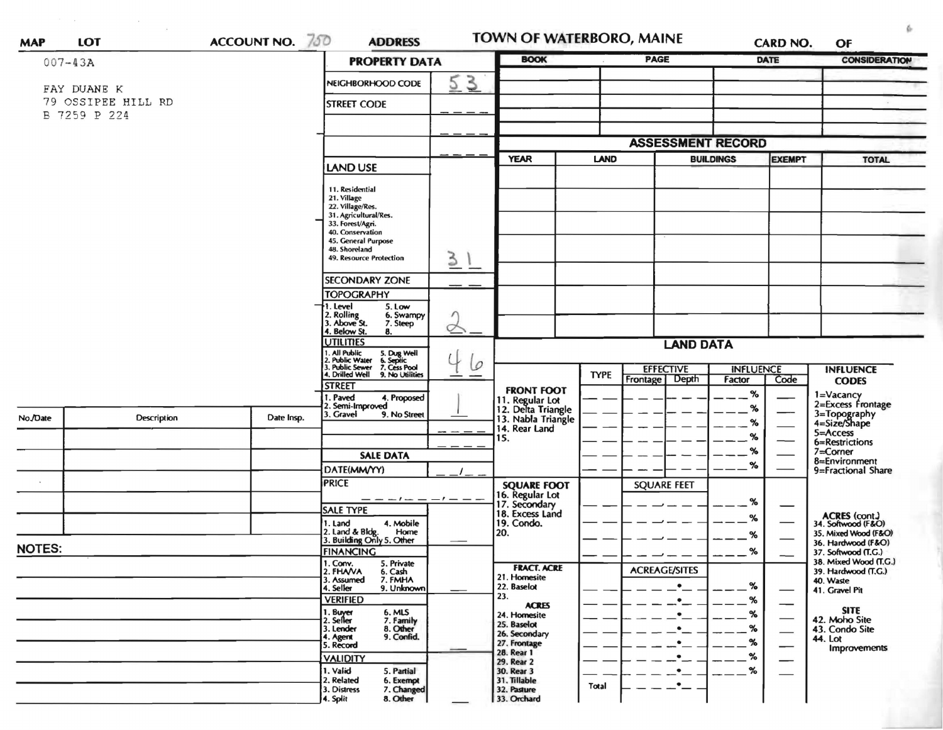| <b>MAP</b>    | <b>LOT</b>                        | ACCOUNT NO. 750                                                                                                    | <b>ADDRESS</b>                                                |           | TOWN OF WATERBORO, MAINE                                                                       |                                 |                                       |                            | <b>CARD NO.</b>                           | OF                                           |
|---------------|-----------------------------------|--------------------------------------------------------------------------------------------------------------------|---------------------------------------------------------------|-----------|------------------------------------------------------------------------------------------------|---------------------------------|---------------------------------------|----------------------------|-------------------------------------------|----------------------------------------------|
| $007 - 43A$   |                                   |                                                                                                                    | <b>PROPERTY DATA</b>                                          |           | <b>BOOK</b>                                                                                    |                                 | <b>PAGE</b>                           |                            | DATE                                      | <b>CONSIDERATION</b>                         |
|               | FAY DUANE K<br>79 OSSIPEE HILL RD |                                                                                                                    | NEIGHBORHOOD CODE<br><b>STREET CODE</b>                       | 3<br>5    |                                                                                                |                                 |                                       |                            |                                           |                                              |
| B 7259 P 224  |                                   |                                                                                                                    |                                                               |           |                                                                                                |                                 |                                       |                            |                                           |                                              |
|               |                                   |                                                                                                                    |                                                               |           |                                                                                                |                                 |                                       |                            |                                           |                                              |
|               |                                   |                                                                                                                    |                                                               |           |                                                                                                |                                 | <b>ASSESSMENT RECORD</b>              |                            |                                           |                                              |
|               |                                   |                                                                                                                    | <b>LAND USE</b>                                               |           | <b>YEAR</b>                                                                                    | <b>LAND</b><br><b>BUILDINGS</b> |                                       | <b>EXEMPT</b>              |                                           | <b>TOTAL</b>                                 |
|               |                                   |                                                                                                                    | 11. Residential                                               |           |                                                                                                |                                 |                                       |                            |                                           |                                              |
|               |                                   |                                                                                                                    | 21. Village<br>22. Village/Res.                               |           |                                                                                                |                                 |                                       |                            |                                           |                                              |
|               |                                   |                                                                                                                    | 31. Agricultural/Res.<br>33. Forest/Agri.                     |           |                                                                                                |                                 |                                       |                            |                                           |                                              |
|               |                                   |                                                                                                                    | 40. Conservation<br>45. General Purpose                       |           |                                                                                                |                                 |                                       |                            |                                           |                                              |
|               |                                   |                                                                                                                    | 48. Shoreland<br><b>49. Resource Protection</b>               | $\geq$    |                                                                                                |                                 |                                       |                            |                                           |                                              |
|               |                                   |                                                                                                                    | <b>SECONDARY ZONE</b>                                         |           |                                                                                                |                                 |                                       |                            |                                           |                                              |
|               |                                   |                                                                                                                    | <b>TOPOGRAPHY</b>                                             |           |                                                                                                |                                 |                                       |                            |                                           |                                              |
|               |                                   |                                                                                                                    | 1. Level<br>5. Low<br>2. Rolling<br>3. Above St.<br>6. Swampy |           |                                                                                                |                                 |                                       |                            |                                           |                                              |
|               |                                   |                                                                                                                    | 7. Steep<br>4. Below St.<br>8.                                | σ         |                                                                                                |                                 |                                       |                            |                                           |                                              |
|               |                                   |                                                                                                                    | <b>UTILITIES</b>                                              |           | <b>LAND DATA</b>                                                                               |                                 |                                       |                            |                                           |                                              |
|               |                                   | 1. All Public<br>2. Public Water<br>3. Public Sewer<br>4. Drilled Well<br>5. Dug Well<br>6. Septic<br>7. Cess Pool | 6                                                             |           |                                                                                                |                                 |                                       |                            |                                           |                                              |
|               |                                   |                                                                                                                    | 9. No Utilities                                               |           |                                                                                                | <b>TYPE</b>                     | <b>EFFECTIVE</b><br>Depth<br>Frontage | <b>INFLUENCE</b><br>Factor | Code                                      | <b>INFLUENCE</b><br><b>CODES</b>             |
|               |                                   |                                                                                                                    | <b>STREET</b><br>I. Paved<br>4. Proposed                      |           | <b>FRONT FOOT</b>                                                                              |                                 |                                       | $\%$                       |                                           | 1=Vacancy                                    |
| No./Date      |                                   |                                                                                                                    | 2. Semi-Improved<br>3. Gravel<br>9. No Street                 |           | 11. Regular Lot<br>12. Delta Triangle<br>13. Nabla Triangle                                    |                                 |                                       | %                          |                                           | 2=Excess Frontage                            |
|               | Description                       | Date Insp.                                                                                                         |                                                               |           | 14. Rear Land                                                                                  |                                 |                                       | $\%$                       |                                           | 3=Topography<br>4=Size/Shape                 |
|               |                                   |                                                                                                                    |                                                               |           | 15.                                                                                            |                                 |                                       | %                          |                                           | 5=Access<br>6=Restrictions                   |
|               |                                   |                                                                                                                    | <b>SALE DATA</b>                                              |           |                                                                                                |                                 |                                       | %                          |                                           | 7=Corner<br>8=Environment                    |
|               |                                   |                                                                                                                    | DATE(MM/YY)                                                   |           |                                                                                                |                                 |                                       | %                          |                                           | 9=Fractional Share                           |
|               |                                   |                                                                                                                    | <b>PRICE</b>                                                  |           |                                                                                                |                                 | <b>SQUARE FEET</b>                    |                            |                                           |                                              |
|               |                                   |                                                                                                                    |                                                               | $-1$ $ -$ | <b>SQUARE FOOT</b><br>16. Regular Lot<br>17. Secondary<br>18. Excess Land<br>19. Condo.<br>20. |                                 |                                       | %                          |                                           |                                              |
|               |                                   |                                                                                                                    | <b>SALE TYPE</b><br>4. Mobile<br>1. Land                      |           |                                                                                                |                                 |                                       | %                          |                                           | ACRES (cont.)<br>34. Softwood (F&O)          |
|               |                                   |                                                                                                                    | 2. Land & Bldg. Home<br>3. Building Only 5. Other<br>Home     |           |                                                                                                |                                 |                                       | %                          |                                           | 35. Mixed Wood (F&O)                         |
| <b>NOTES:</b> |                                   | <b>FINANCING</b>                                                                                                   |                                                               |           |                                                                                                |                                 | %                                     |                            | 36. Hardwood (F&O)<br>37. Softwood (T.G.) |                                              |
|               |                                   |                                                                                                                    | 1. Conv.<br>5. Private<br>2. FHAVA                            |           | <b>FRACT. ACRE</b>                                                                             |                                 | <b>ACREAGE/SITES</b>                  |                            |                                           | 38. Mixed Wood (T.G.)<br>39. Hardwood (T.G.) |
|               |                                   |                                                                                                                    | 6. Cash<br>7. FMHA<br>3. Assumed<br>4. Seller<br>9. Unknown   |           | 21. Homesite<br>22. Baselot                                                                    |                                 | $\bullet$                             | $\%$                       |                                           | 40. Waste                                    |
|               |                                   |                                                                                                                    | <b>VERIFIED</b>                                               |           | 23.                                                                                            |                                 | $\bullet$                             | %                          |                                           | 41. Gravel Pit                               |
|               |                                   |                                                                                                                    | 6. MLS<br>1. Buyer<br>2. Seller                               |           | <b>ACRES</b><br>24. Homesite                                                                   |                                 | $\bullet$                             | %                          |                                           | <b>SITE</b><br>42. Moho Site                 |
|               |                                   |                                                                                                                    | 7. Family<br>8. Other<br>3. Lender                            |           | 25. Baselot<br>26. Secondary                                                                   |                                 | $\bullet$                             | %                          |                                           | 43. Condo Site                               |
|               |                                   |                                                                                                                    | 9. Confid.<br>4. Agent<br>5. Record                           |           | 27. Frontage                                                                                   |                                 | $\bullet$                             | %                          |                                           | 44. Lot<br>Improvements                      |
|               |                                   |                                                                                                                    | <b>VALIDITY</b>                                               |           | 28. Rear 1<br>29. Rear 2                                                                       |                                 | $\bullet$                             | %                          |                                           |                                              |
|               |                                   |                                                                                                                    | 1. Valid<br>5. Partial                                        |           | 30. Rear 3                                                                                     |                                 | $\bullet$                             | $\%$                       |                                           |                                              |
|               |                                   |                                                                                                                    | 2. Related<br>6. Exempt<br>3. Distress<br>7. Changed          |           | 31. Tillable<br>32. Pasture                                                                    | Total                           | $\bullet$                             |                            |                                           |                                              |
|               |                                   |                                                                                                                    | 8. Other<br>4. Split                                          |           | 33. Orchard                                                                                    |                                 |                                       |                            |                                           |                                              |

 $\label{eq:2.1} \begin{array}{lllllll} \alpha(\alpha) & \alpha(\alpha) & \alpha(\alpha) & \alpha(\alpha) & \alpha(\alpha) \\ \alpha(\alpha) & \alpha(\alpha) & \alpha(\alpha) & \alpha(\alpha) & \alpha(\alpha) \\ \alpha(\alpha) & \alpha(\alpha) & \alpha(\alpha) & \alpha(\alpha) & \alpha(\alpha) \\ \alpha(\alpha) & \alpha(\alpha) & \alpha(\alpha) & \alpha(\alpha) & \alpha(\alpha) \\ \alpha(\alpha) & \alpha(\alpha) & \alpha(\alpha) & \alpha(\alpha) & \alpha(\alpha) \\ \alpha(\alpha) & \alpha(\alpha) & \alpha(\alpha) & \alpha(\alpha) & \alpha(\alpha) \\ \alpha(\alpha) & \alpha(\alpha) & \alpha(\alpha) & \alpha(\$